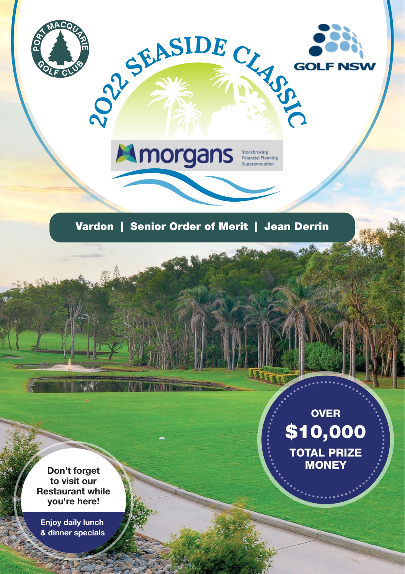



Don't forget to visit our Restaurant while you're here!

Enjoy daily lunch & dinner specials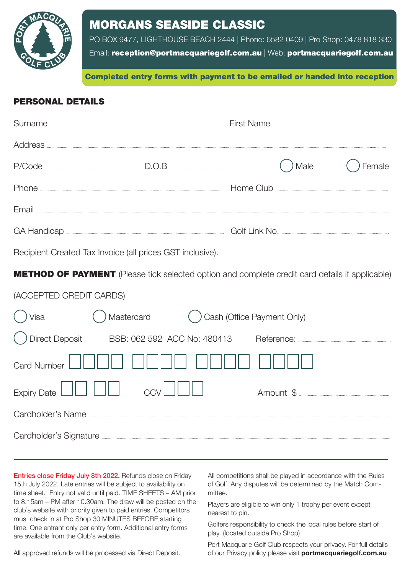

### MORGANS SEASIDE CLASSIC

PO BOX 9477, LIGHTHOUSE BEACH 2444 | Phone: 6582 0409 | Pro Shop: 0478 818 330

Email: reception@[portmacquariegolf.com.au](http://portmacquariegolf.com.au) | Web: portmacquariegolf.com.au

Great Gomp Completed entry forms with payment to be emailed or handed into reception

#### PERSONAL DETAILS

| Surname            |       |                                                                                                                                                                                                                                                                                                                                                                                                                                                                                                           |        |
|--------------------|-------|-----------------------------------------------------------------------------------------------------------------------------------------------------------------------------------------------------------------------------------------------------------------------------------------------------------------------------------------------------------------------------------------------------------------------------------------------------------------------------------------------------------|--------|
| Address            |       |                                                                                                                                                                                                                                                                                                                                                                                                                                                                                                           |        |
| P/Code             | D.O.B | Male                                                                                                                                                                                                                                                                                                                                                                                                                                                                                                      | Female |
| Phone              |       | Home Club                                                                                                                                                                                                                                                                                                                                                                                                                                                                                                 |        |
| Fmail              |       |                                                                                                                                                                                                                                                                                                                                                                                                                                                                                                           |        |
| <b>GA Handicap</b> |       | Golf Link No.<br>$\begin{minipage}{0.5\textwidth} \begin{tabular}{ c c c c } \hline \multicolumn{1}{ c }{0.5\textwidth} \includegraphics{1}{c c } \hline \multicolumn{1}{ c }{0.5\textwidth} \includegraphics{1}{c c } \hline \multicolumn{1}{ c }{0.5\textwidth} \includegraphics{1}{c c } \hline \multicolumn{1}{ c }{0.5\textwidth} \includegraphics{1}{c c } \hline \multicolumn{1}{ c }{0.5\textwidth} \includegraphics{1}{c c } \hline \multicolumn{1}{ c }{0.5\textwidth} \includegraphics{1}{c c$ |        |

Recipient Created Tax Invoice (all prices GST inclusive).

**METHOD OF PAYMENT** (Please tick selected option and complete credit card details if applicable)

| (ACCEPTED CREDIT CARDS)    |            |                                                                                                                                                                                                                                     |                      |  |  |  |
|----------------------------|------------|-------------------------------------------------------------------------------------------------------------------------------------------------------------------------------------------------------------------------------------|----------------------|--|--|--|
| Visa                       | Mastercard | () Cash (Office Payment Only)                                                                                                                                                                                                       |                      |  |  |  |
|                            |            | Direct Deposit BSB: 062 592 ACC No: 480413                                                                                                                                                                                          | Reference: Reference |  |  |  |
| <b>Card Number</b>         |            |                                                                                                                                                                                                                                     |                      |  |  |  |
| Expiry Date $\Box\Box\Box$ |            | ccvIII                                                                                                                                                                                                                              | Amount \$            |  |  |  |
| Cardholder's Name          |            |                                                                                                                                                                                                                                     |                      |  |  |  |
|                            |            | Cardholder's Signature <b>contract of the Cardholder's</b> Signature contract of the Cardholder's Signature contract of the Cardholder's Signature contract of the Cardholder's Signature contract of the Cardholder's Signature co |                      |  |  |  |

Entries close Friday July 8th 2022. Refunds close on Friday 15th July 2022. Late entries will be subject to availability on time sheet. Entry not valid until paid. TIME SHEETS – AM prior to 8.15am – PM after 10.30am. The draw will be posted on the club's website with priority given to paid entries. Competitors must check in at Pro Shop 30 MINUTES BEFORE starting time. One entrant only per entry form. Additional entry forms are available from the Club's website.

All competitions shall be played in accordance with the Rules of Golf. Any disputes will be determined by the Match Committee.

Players are eligible to win only 1 trophy per event except nearest to pin.

Golfers responsibility to check the local rules before start of play. (located outside Pro Shop)

All approved refunds will be processed via Direct Deposit.

Port Macquarie Golf Club respects your privacy. For full details of our Privacy policy please visit **portmacquariegolf.com.au**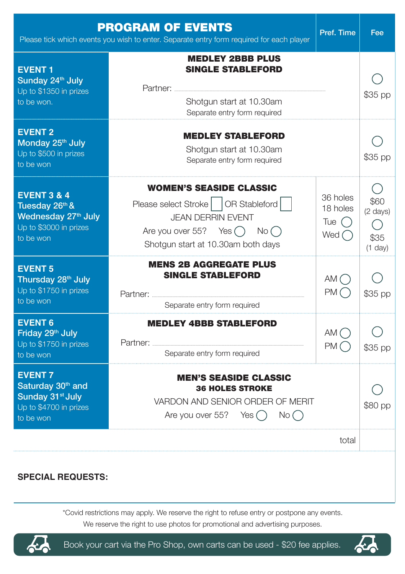|                                                                                                                       | <b>PROGRAM OF EVENTS</b><br>Please tick which events you wish to enter. Separate entry form required for each player                                                                        | Pref. Time                                             | Fee                                   |  |  |
|-----------------------------------------------------------------------------------------------------------------------|---------------------------------------------------------------------------------------------------------------------------------------------------------------------------------------------|--------------------------------------------------------|---------------------------------------|--|--|
| <b>EVENT1</b><br>Sunday 24 <sup>th</sup> July<br>Up to \$1350 in prizes<br>to be won.                                 | <b>MEDLEY 2BBB PLUS</b><br><b>SINGLE STABLEFORD</b><br>Partner:<br>Shotgun start at 10.30am<br>Separate entry form required                                                                 |                                                        | \$35 pp                               |  |  |
| <b>EVENT 2</b><br>Monday 25th July<br>Up to \$500 in prizes<br>to be won                                              | <b>MEDLEY STABLEFORD</b><br>Shotgun start at 10.30am<br>Separate entry form required                                                                                                        |                                                        | \$35 pp                               |  |  |
| <b>EVENT 3 &amp; 4</b><br>Tuesday 26th &<br>Wednesday 27 <sup>th</sup> July<br>Up to \$3000 in prizes<br>to be won    | <b>WOMEN'S SEASIDE CLASSIC</b><br>Please select Stroke     OR Stableford  <br><b>JEAN DERRIN EVENT</b><br>Are you over 55? Yes $\bigcap$ No $\bigcap$<br>Shotgun start at 10.30am both days | 36 holes<br>18 holes<br>Tue $\bigcap$<br>Wed $\bigcap$ | \$60<br>(2 days)<br>\$35<br>$(1$ day) |  |  |
| <b>EVENT 5</b><br>Thursday 28 <sup>th</sup> July<br>Up to \$1750 in prizes<br>to be won                               | <b>MENS 2B AGGREGATE PLUS</b><br><b>SINGLE STABLEFORD</b><br>Separate entry form required                                                                                                   | AM()<br>PM()                                           | \$35 pp                               |  |  |
| <b>EVENT 6</b><br>Friday 29th July<br>Up to \$1750 in prizes<br>to be won                                             | <b>MEDLEY 4BBB STABLEFORD</b><br>Separate entry form required                                                                                                                               | AM()<br>PM(                                            | \$35 pp                               |  |  |
| <b>EVENT7</b><br>Saturday 30 <sup>th</sup> and<br>Sunday 31 <sup>st</sup> July<br>Up to \$4700 in prizes<br>to be won | <b>MEN'S SEASIDE CLASSIC</b><br><b>36 HOLES STROKE</b><br>VARDON AND SENIOR ORDER OF MERIT<br>Are you over 55? Yes ()<br>No()                                                               |                                                        | \$80 pp                               |  |  |
|                                                                                                                       |                                                                                                                                                                                             | total                                                  |                                       |  |  |
| <b>SPECIAL REQUESTS:</b>                                                                                              |                                                                                                                                                                                             |                                                        |                                       |  |  |

\*Covid restrictions may apply. We reserve the right to refuse entry or postpone any events. We reserve the right to use photos for promotional and advertising purposes.